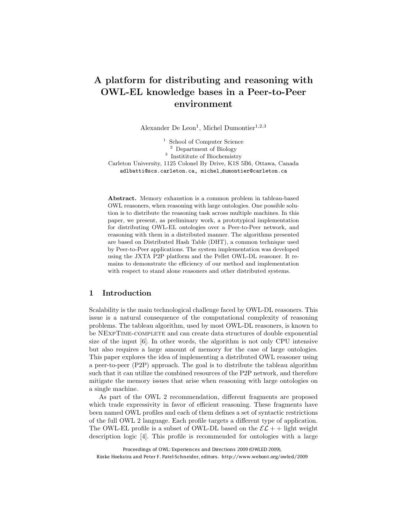# A platform for distributing and reasoning with OWL-EL knowledge bases in a Peer-to-Peer environment

Alexander De Leon<sup>1</sup>, Michel Dumontier<sup>1,2,3</sup>

<sup>1</sup> School of Computer Science <sup>2</sup> Department of Biology <sup>3</sup> Institute of Biochemistry Carleton University, 1125 Colonel By Drive, K1S 5B6, Ottawa, Canada adlbatti@scs.carleton.ca, michel dumontier@carleton.ca

Abstract. Memory exhaustion is a common problem in tableau-based OWL reasoners, when reasoning with large ontologies. One possible solution is to distribute the reasoning task across multiple machines. In this paper, we present, as preliminary work, a prototypical implementation for distributing OWL-EL ontologies over a Peer-to-Peer network, and reasoning with them in a distributed manner. The algorithms presented are based on Distributed Hash Table (DHT), a common technique used by Peer-to-Peer applications. The system implementation was developed using the JXTA P2P platform and the Pellet OWL-DL reasoner. It remains to demonstrate the efficiency of our method and implementation with respect to stand alone reasoners and other distributed systems.

#### 1 Introduction

Scalability is the main technological challenge faced by OWL-DL reasoners. This issue is a natural consequence of the computational complexity of reasoning problems. The tableau algorithm, used by most OWL-DL reasoners, is known to be NExpTime-complete and can create data structures of double exponential size of the input [6]. In other words, the algorithm is not only CPU intensive but also requires a large amount of memory for the case of large ontologies. This paper explores the idea of implementing a distributed OWL reasoner using a peer-to-peer (P2P) approach. The goal is to distribute the tableau algorithm such that it can utilize the combined resources of the P2P network, and therefore mitigate the memory issues that arise when reasoning with large ontologies on a single machine.

As part of the OWL 2 recommendation, different fragments are proposed which trade expressivity in favor of efficient reasoning. These fragments have been named OWL profiles and each of them defines a set of syntactic restrictions of the full OWL 2 language. Each profile targets a different type of application. The OWL-EL profile is a subset of OWL-DL based on the  $\mathcal{EL}$  + + light weight description logic [4]. This profile is recommended for ontologies with a large

Proceedings of OWL: Experiences and Directions 2009 (OWLED 2009), Rinke Hoekstra and Peter F. Patel-Schneider, editors. http://www.webont.org/owled/2009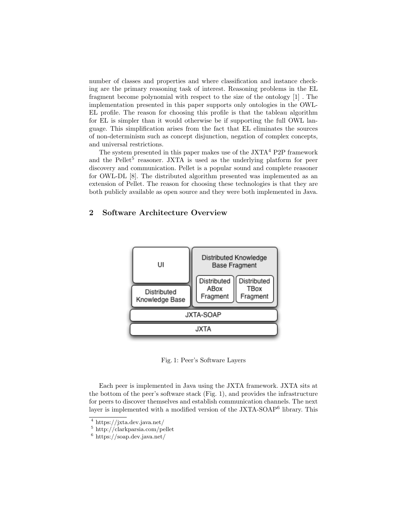number of classes and properties and where classification and instance checking are the primary reasoning task of interest. Reasoning problems in the EL fragment become polynomial with respect to the size of the ontology [1] . The implementation presented in this paper supports only ontologies in the OWL-EL profile. The reason for choosing this profile is that the tableau algorithm for EL is simpler than it would otherwise be if supporting the full OWL language. This simplification arises from the fact that EL eliminates the sources of non-determinism such as concept disjunction, negation of complex concepts, and universal restrictions.

The system presented in this paper makes use of the  $JXTA<sup>4</sup>$  P2P framework and the Pellet<sup>5</sup> reasoner. JXTA is used as the underlying platform for peer discovery and communication. Pellet is a popular sound and complete reasoner for OWL-DL [8]. The distributed algorithm presented was implemented as an extension of Pellet. The reason for choosing these technologies is that they are both publicly available as open source and they were both implemented in Java.

### 2 Software Architecture Overview



Fig. 1: Peer's Software Layers

Each peer is implemented in Java using the JXTA framework. JXTA sits at the bottom of the peer's software stack (Fig. 1), and provides the infrastructure for peers to discover themselves and establish communication channels. The next layer is implemented with a modified version of the JXTA-SOAP<sup>6</sup> library. This

<sup>4</sup> https://jxta.dev.java.net/

<sup>5</sup> http://clarkparsia.com/pellet

 $6 \text{ https://soap.dev.java.net/}$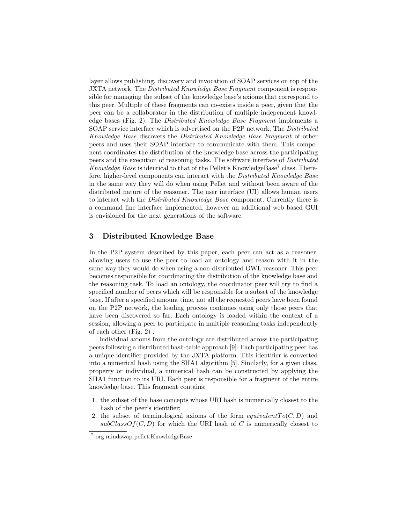layer allows publishing, discovery and invocation of SOAP services on top of the JXTA network. The *Distributed Knowledge Base Fragment* component is responsible for managing the subset of the knowledge base's axioms that correspond to this peer. Multiple of these fragments can co-exists inside a peer, given that the peer can be a collaborator in the distribution of multiple independent knowledge bases (Fig. 2). The *Distributed Knowledge Base Fragment* implements a SOAP service interface which is advertised on the P2P network. The *Distributed Knowledge Base* discovers the *Distributed Knowledge Base Fragment* of other peers and uses their SOAP interface to communicate with them. This component coordinates the distribution of the knowledge base across the participating peers and the execution of reasoning tasks. The software interface of *Distributed Knowledge Base* is identical to that of the Pellet's KnowledgeBase<sup>7</sup> class. Therefore, higher-level components can interact with the *Distributed Knowledge Base* in the same way they will do when using Pellet and without been aware of the distributed nature of the reasoner. The user interface (UI) allows human users to interact with the *Distributed Knowledge Base* component. Currently there is a command line interface implemented, however an additional web based GUI is envisioned for the next generations of the software.

## 3 Distributed Knowledge Base

In the P2P system described by this paper, each peer can act as a reasoner, allowing users to use the peer to load an ontology and reason with it in the same way they would do when using a non-distributed OWL reasoner. This peer becomes responsible for coordinating the distribution of the knowledge base and the reasoning task. To load an ontology, the coordinator peer will try to find a specified number of peers which will be responsible for a subset of the knowledge base. If after a specified amount time, not all the requested peers have been found on the P2P network, the loading process continues using only those peers that have been discovered so far. Each ontology is loaded within the context of a session, allowing a peer to participate in multiple reasoning tasks independently of each other (Fig. 2) .

Individual axioms from the ontology are distributed across the participating peers following a distributed hash-table approach [9]. Each participating peer has a unique identifier provided by the JXTA platform. This identifier is converted into a numerical hash using the SHA1 algorithm [5]. Similarly, for a given class, property or individual, a numerical hash can be constructed by applying the SHA1 function to its URI. Each peer is responsible for a fragment of the entire knowledge base. This fragment contains:

- 1. the subset of the base concepts whose URI hash is numerically closest to the hash of the peer's identifier;
- 2. the subset of terminological axioms of the form  $equivalent To(C, D)$  and  $subClassOf(C, D)$  for which the URI hash of *C* is numerically closest to

<sup>7</sup> org.mindswap.pellet.KnowledgeBase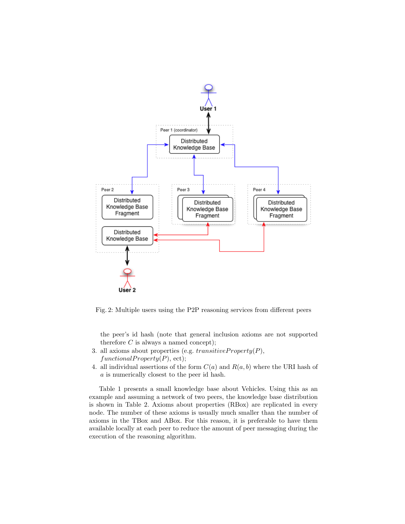

Fig. 2: Multiple users using the P2P reasoning services from different peers

the peer's id hash (note that general inclusion axioms are not supported therefore  $C$  is always a named concept);

- 3. all axioms about properties (e.g. *transitiveP roperty*(*P*),  $functionalProperty(P),$ ect);
- 4. all individual assertions of the form  $C(a)$  and  $R(a, b)$  where the URI hash of *a* is numerically closest to the peer id hash.

Table 1 presents a small knowledge base about Vehicles. Using this as an example and assuming a network of two peers, the knowledge base distribution is shown in Table 2. Axioms about properties (RBox) are replicated in every node. The number of these axioms is usually much smaller than the number of axioms in the TBox and ABox. For this reason, it is preferable to have them available locally at each peer to reduce the amount of peer messaging during the execution of the reasoning algorithm.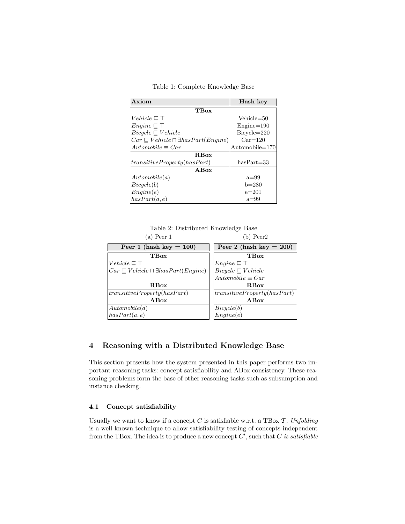Table 1: Complete Knowledge Base

| Axiom                                                  | Hash key                |  |
|--------------------------------------------------------|-------------------------|--|
| TBox                                                   |                         |  |
| $Vehicle \sqsubseteq \top$                             | $Vehicle = 50$          |  |
| $Engineering \sqsubseteq \top$                         | $Engine = 190$          |  |
| $Bicycle \sqsubset Vehicle$                            | $Bicycle = 220$         |  |
| $Car \sqsubset Vehicle \sqcap \exists hasPart(Enqine)$ | $Car = 120$             |  |
| $Automobile \equiv Car$                                | $\text{Automobile}=170$ |  |
| <b>R</b> Box                                           |                         |  |
| transitiveProperty (has Part)                          | $hasPart = 33$          |  |
| ABox                                                   |                         |  |
| Automobile(a)                                          | $a=99$                  |  |
| Bicycle(b)                                             | $b=280$                 |  |
| Enqine(e)                                              | $e = 201$               |  |
| hasPart(a, e)                                          | $a=99$                  |  |

Table 2: Distributed Knowledge Base (a) Peer 1 (b) Peer2

| Peer 1 (hash key $= 100$ )                               | Peer 2 (hash key $= 200$ )    |
|----------------------------------------------------------|-------------------------------|
| TBox                                                     | <b>TBox</b>                   |
| Vehicle $\sqsubset \top$                                 | $Enqine \sqsubset \top$       |
| $Car \sqsubseteq Vehicle \sqcap \exists hasPart(Engine)$ | $Bicycle \sqsubseteq Vehicle$ |
|                                                          | $Automobile \equiv Car$       |
| RBox                                                     | RBox                          |
| transitiveProperty (has Part)                            | transitiveProperty (has Part) |
| $\bf{AB}$ ox                                             | $\bf A Box$                   |
| Automobile(a)                                            | $Bicycle(b)$<br>$Engine(e)$   |
| hasPart(a, e)                                            |                               |

# 4 Reasoning with a Distributed Knowledge Base

This section presents how the system presented in this paper performs two important reasoning tasks: concept satisfiability and ABox consistency. These reasoning problems form the base of other reasoning tasks such as subsumption and instance checking.

#### 4.1 Concept satisfiability

Usually we want to know if a concept  $C$  is satisfiable w.r.t. a TBox  $\mathcal T$ . *Unfolding* is a well known technique to allow satisfiability testing of concepts independent from the TBox. The idea is to produce a new concept *C*! , such that *C is satisfiable*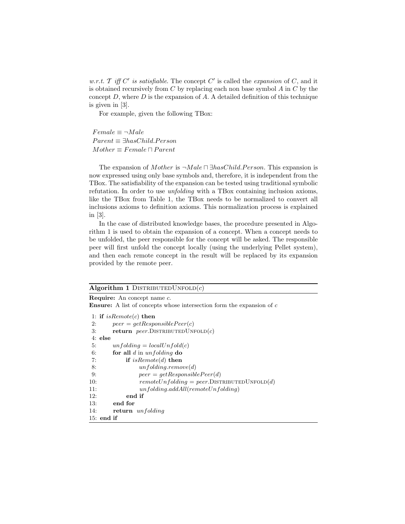*w.r.t.*  $\mathcal{T}$  *iff*  $C'$  *is satisfiable*. The concept  $C'$  is called the *expansion* of  $C$ , and it is obtained recursively from *C* by replacing each non base symbol *A* in *C* by the concept *D*, where *D* is the expansion of *A*. A detailed definition of this technique is given in [3].

For example, given the following TBox:

 $Female \equiv \neg Male$ *P arent* ≡ ∃*hasChild.P erson*  $Mother \equiv Female \sqcap Parent$ 

The expansion of *Mother* is  $\neg Male \sqcap \exists hasChild.Person$ . This expansion is now expressed using only base symbols and, therefore, it is independent from the TBox. The satisfiability of the expansion can be tested using traditional symbolic refutation. In order to use *unfolding* with a TBox containing inclusion axioms, like the TBox from Table 1, the TBox needs to be normalized to convert all inclusions axioms to definition axioms. This normalization process is explained in [3].

In the case of distributed knowledge bases, the procedure presented in Algorithm 1 is used to obtain the expansion of a concept. When a concept needs to be unfolded, the peer responsible for the concept will be asked. The responsible peer will first unfold the concept locally (using the underlying Pellet system), and then each remote concept in the result will be replaced by its expansion provided by the remote peer.

#### Algorithm 1 DISTRIBUTEDUNFOLD $(c)$

Require: An concept name *c*. Ensure: A list of concepts whose intersection form the expansion of *c*

1: if *isRemote*(*c*) then 2:  $peer = getResponseiblePeer(c)$ 3: return  $peer.D$ ISTRIBUTEDUNFOLD $(c)$ 4: else 5:  $unfolding = localUnfold(c)$ 6: for all *d* in *unfolding* do 7: if *isRemote*(*d*) then 8: *unfolding.remove*(*d*) 9: *peer* =  $getResponse( d )$ 10:  $remoteUnfolding = peer.DISTRIBUTEDUNFOLD(d)$ 11: *unfolding.addAll*(*remoteUnfolding*) 12: end if 13: end for 14: return *unfolding* 15: end if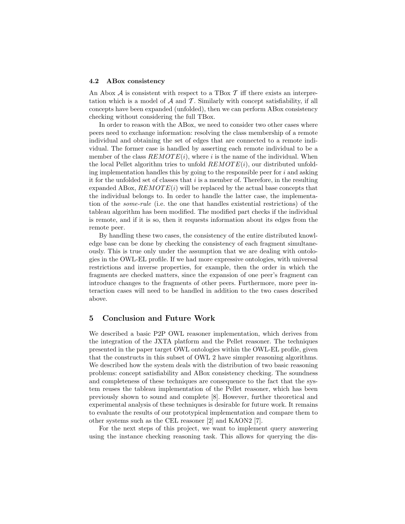#### 4.2 ABox consistency

An Abox  $A$  is consistent with respect to a TBox  $T$  iff there exists an interpretation which is a model of  $A$  and  $T$ . Similarly with concept satisfiability, if all concepts have been expanded (unfolded), then we can perform ABox consistency checking without considering the full TBox.

In order to reason with the ABox, we need to consider two other cases where peers need to exchange information: resolving the class membership of a remote individual and obtaining the set of edges that are connected to a remote individual. The former case is handled by asserting each remote individual to be a member of the class  $REMOTE(i)$ , where *i* is the name of the individual. When the local Pellet algorithm tries to unfold *REMOT E*(*i*), our distributed unfolding implementation handles this by going to the responsible peer for *i* and asking it for the unfolded set of classes that *i* is a member of. Therefore, in the resulting expanded ABox,  $REMOTE(i)$  will be replaced by the actual base concepts that the individual belongs to. In order to handle the latter case, the implementation of the *some-rule* (i.e. the one that handles existential restrictions) of the tableau algorithm has been modified. The modified part checks if the individual is remote, and if it is so, then it requests information about its edges from the remote peer.

By handling these two cases, the consistency of the entire distributed knowledge base can be done by checking the consistency of each fragment simultaneously. This is true only under the assumption that we are dealing with ontologies in the OWL-EL profile. If we had more expressive ontologies, with universal restrictions and inverse properties, for example, then the order in which the fragments are checked matters, since the expansion of one peer's fragment can introduce changes to the fragments of other peers. Furthermore, more peer interaction cases will need to be handled in addition to the two cases described above.

#### 5 Conclusion and Future Work

We described a basic P2P OWL reasoner implementation, which derives from the integration of the JXTA platform and the Pellet reasoner. The techniques presented in the paper target OWL ontologies within the OWL-EL profile, given that the constructs in this subset of OWL 2 have simpler reasoning algorithms. We described how the system deals with the distribution of two basic reasoning problems: concept satisfiability and ABox consistency checking. The soundness and completeness of these techniques are consequence to the fact that the system reuses the tableau implementation of the Pellet reasoner, which has been previously shown to sound and complete [8]. However, further theoretical and experimental analysis of these techniques is desirable for future work. It remains to evaluate the results of our prototypical implementation and compare them to other systems such as the CEL reasoner [2] and KAON2 [7].

For the next steps of this project, we want to implement query answering using the instance checking reasoning task. This allows for querying the dis